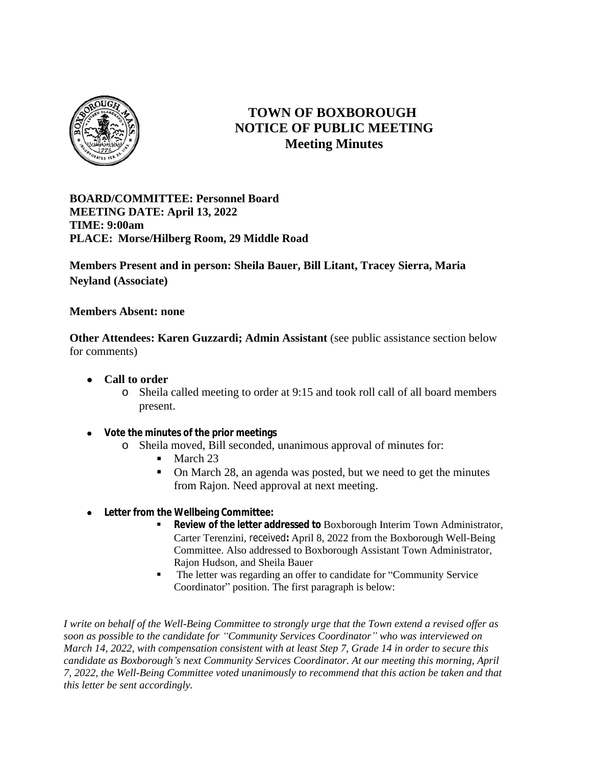

# **TOWN OF BOXBOROUGH NOTICE OF PUBLIC MEETING Meeting Minutes**

**BOARD/COMMITTEE: Personnel Board MEETING DATE: April 13, 2022 TIME: 9:00am PLACE: Morse/Hilberg Room, 29 Middle Road**

**Members Present and in person: Sheila Bauer, Bill Litant, Tracey Sierra, Maria Neyland (Associate)**

**Members Absent: none**

**Other Attendees: Karen Guzzardi; Admin Assistant** (see public assistance section below for comments)

- **Call to order**
	- o Sheila called meeting to order at 9:15 and took roll call of all board members present.
- **Vote the minutes of the prior meetings**
	- o Sheila moved, Bill seconded, unanimous approval of minutes for:
		- March 23
		- On March 28, an agenda was posted, but we need to get the minutes from Rajon. Need approval at next meeting.
- **Letter from the Wellbeing Committee:**
	- **Review of the letter addressed to** Boxborough Interim Town Administrator, Carter Terenzini, received**:** April 8, 2022 from the Boxborough Well-Being Committee. Also addressed to Boxborough Assistant Town Administrator, Rajon Hudson, and Sheila Bauer
	- The letter was regarding an offer to candidate for "Community Service" Coordinator" position. The first paragraph is below:

*I write on behalf of the Well-Being Committee to strongly urge that the Town extend a revised offer as soon as possible to the candidate for "Community Services Coordinator" who was interviewed on March 14, 2022, with compensation consistent with at least Step 7, Grade 14 in order to secure this candidate as Boxborough's next Community Services Coordinator. At our meeting this morning, April 7, 2022, the Well-Being Committee voted unanimously to recommend that this action be taken and that this letter be sent accordingly.*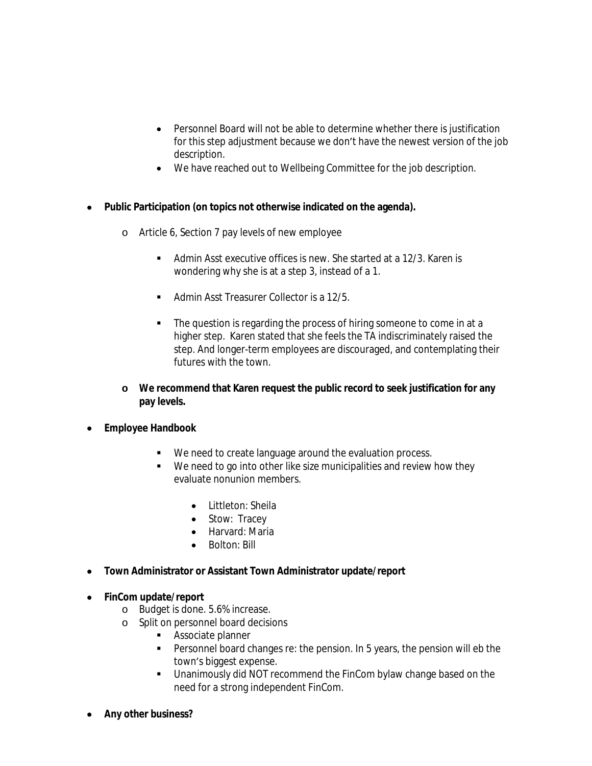- Personnel Board will not be able to determine whether there is justification for this step adjustment because we don't have the newest version of the job description.
- We have reached out to Wellbeing Committee for the job description.
- **Public Participation (on topics not otherwise indicated on the agenda).**
	- o Article 6, Section 7 pay levels of new employee
		- Admin Asst executive offices is new. She started at a 12/3. Karen is wondering why she is at a step 3, instead of a 1.
		- Admin Asst Treasurer Collector is a 12/5.
		- The question is regarding the process of hiring someone to come in at a higher step. Karen stated that she feels the TA indiscriminately raised the step. And longer-term employees are discouraged, and contemplating their futures with the town.
	- **o We recommend that Karen request the public record to seek justification for any pay levels.**
- **Employee Handbook**
	- We need to create language around the evaluation process.
	- We need to go into other like size municipalities and review how they evaluate nonunion members.
		- Littleton: Sheila
		- Stow: Tracey
		- Harvard: Maria
		- Bolton: Bill
- **Town Administrator or Assistant Town Administrator update/report**
- **FinCom update/report**
	- o Budget is done. 5.6% increase.
	- o Split on personnel board decisions
		- **Associate planner**
		- **Personnel board changes re: the pension. In 5 years, the pension will eb the** town's biggest expense.
		- Unanimously did NOT recommend the FinCom bylaw change based on the need for a strong independent FinCom.
- **Any other business?**